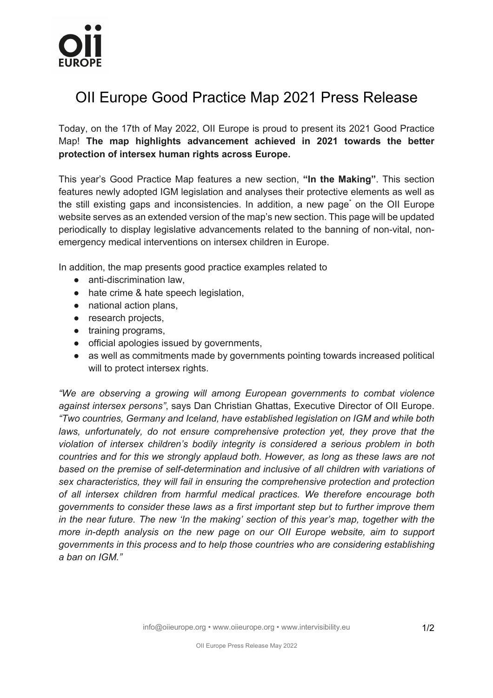## OII Europe Good Practice Map 2021 Press Release

Today, on the 17th of May 2022, OII Europe is proud to present its 2021 Good Practice Map! **The map highlights advancement achieved in 2021 towards the better protection of intersex human rights across Europe.**

This year's Good Practice Map features a new section, **"In the Making"**. This section features newly adopted IGM legislation and analyses their protective elements as well as the still existing gaps and inconsistencies. In addition, a new page<sup>\*</sup> on the OII Europe website serves as an extended version of the map's new section. This page will be updated periodically to display legislative advancements related to the banning of non-vital, nonemergency medical interventions on intersex children in Europe.

In addition, the map presents good practice examples related to

- anti-discrimination law,
- hate crime & hate speech legislation,
- national action plans,
- research projects,
- training programs,
- official apologies issued by governments,
- as well as commitments made by governments pointing towards increased political will to protect intersex rights.

*"We are observing a growing will among European governments to combat violence against intersex persons"*, says Dan Christian Ghattas, Executive Director of OII Europe. *"Two countries, Germany and Iceland, have established legislation on IGM and while both laws, unfortunately, do not ensure comprehensive protection yet, they prove that the violation of intersex children's bodily integrity is considered a serious problem in both countries and for this we strongly applaud both. However, as long as these laws are not based on the premise of self-determination and inclusive of all children with variations of sex characteristics, they will fail in ensuring the comprehensive protection and protection of all intersex children from harmful medical practices. We therefore encourage both governments to consider these laws as a first important step but to further improve them in the near future. The new 'In the making' section of this year's map, together with the more in-depth analysis on the new page on our OII Europe website, aim to support governments in this process and to help those countries who are considering establishing a ban on IGM."*